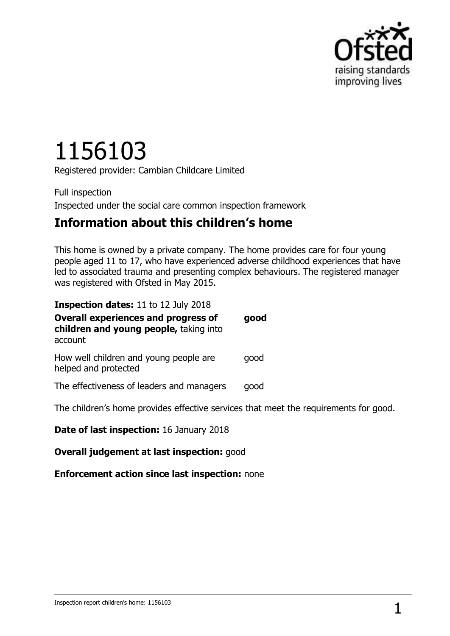

# 1156103

Registered provider: Cambian Childcare Limited

Full inspection Inspected under the social care common inspection framework

## **Information about this children's home**

This home is owned by a private company. The home provides care for four young people aged 11 to 17, who have experienced adverse childhood experiences that have led to associated trauma and presenting complex behaviours. The registered manager was registered with Ofsted in May 2015.

| <b>Inspection dates: 11 to 12 July 2018</b>                                                     |      |
|-------------------------------------------------------------------------------------------------|------|
| <b>Overall experiences and progress of</b><br>children and young people, taking into<br>account | good |
| How well children and young people are<br>helped and protected                                  | good |
| The effectiveness of leaders and managers                                                       | good |
| The children's home provides effective services that meet the requirements for good.            |      |

**Date of last inspection:** 16 January 2018

**Overall judgement at last inspection:** good

**Enforcement action since last inspection:** none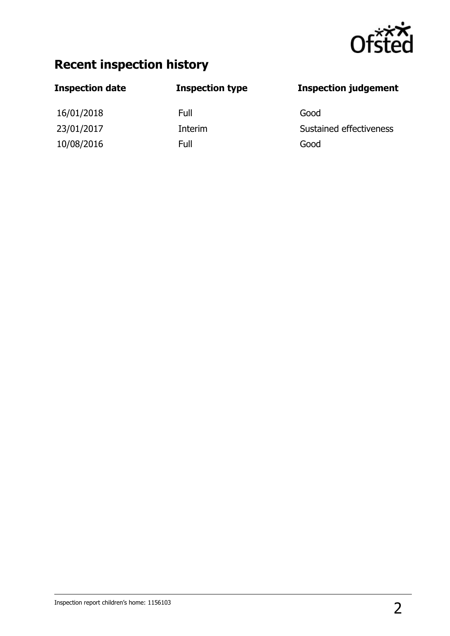

## **Recent inspection history**

## **Inspection date Inspection type Inspection judgement** 16/01/2018 Full Good 23/01/2017 **Interim** Interim Sustained effectiveness 10/08/2016 Full Good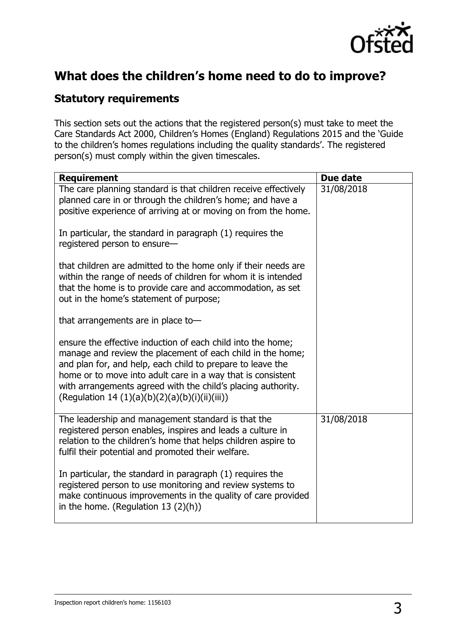

## **What does the children's home need to do to improve?**

### **Statutory requirements**

This section sets out the actions that the registered person(s) must take to meet the Care Standards Act 2000, Children's Homes (England) Regulations 2015 and the 'Guide to the children's homes regulations including the quality standards'. The registered person(s) must comply within the given timescales.

| <b>Requirement</b>                                                                                                                                                                                                                                                                                                                                                       | Due date   |
|--------------------------------------------------------------------------------------------------------------------------------------------------------------------------------------------------------------------------------------------------------------------------------------------------------------------------------------------------------------------------|------------|
| The care planning standard is that children receive effectively<br>planned care in or through the children's home; and have a<br>positive experience of arriving at or moving on from the home.                                                                                                                                                                          | 31/08/2018 |
| In particular, the standard in paragraph (1) requires the<br>registered person to ensure-                                                                                                                                                                                                                                                                                |            |
| that children are admitted to the home only if their needs are<br>within the range of needs of children for whom it is intended<br>that the home is to provide care and accommodation, as set<br>out in the home's statement of purpose;                                                                                                                                 |            |
| that arrangements are in place to-                                                                                                                                                                                                                                                                                                                                       |            |
| ensure the effective induction of each child into the home;<br>manage and review the placement of each child in the home;<br>and plan for, and help, each child to prepare to leave the<br>home or to move into adult care in a way that is consistent<br>with arrangements agreed with the child's placing authority.<br>(Regulation 14 (1)(a)(b)(2)(a)(b)(i)(ii)(iii)) |            |
| The leadership and management standard is that the<br>registered person enables, inspires and leads a culture in<br>relation to the children's home that helps children aspire to<br>fulfil their potential and promoted their welfare.                                                                                                                                  | 31/08/2018 |
| In particular, the standard in paragraph (1) requires the<br>registered person to use monitoring and review systems to<br>make continuous improvements in the quality of care provided<br>in the home. (Regulation $13(2)(h)$ )                                                                                                                                          |            |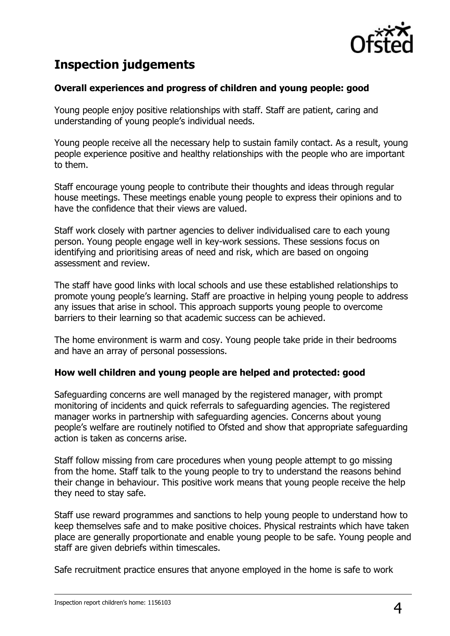

## **Inspection judgements**

#### **Overall experiences and progress of children and young people: good**

Young people enjoy positive relationships with staff. Staff are patient, caring and understanding of young people's individual needs.

Young people receive all the necessary help to sustain family contact. As a result, young people experience positive and healthy relationships with the people who are important to them.

Staff encourage young people to contribute their thoughts and ideas through regular house meetings. These meetings enable young people to express their opinions and to have the confidence that their views are valued.

Staff work closely with partner agencies to deliver individualised care to each young person. Young people engage well in key-work sessions. These sessions focus on identifying and prioritising areas of need and risk, which are based on ongoing assessment and review.

The staff have good links with local schools and use these established relationships to promote young people's learning. Staff are proactive in helping young people to address any issues that arise in school. This approach supports young people to overcome barriers to their learning so that academic success can be achieved.

The home environment is warm and cosy. Young people take pride in their bedrooms and have an array of personal possessions.

#### **How well children and young people are helped and protected: good**

Safeguarding concerns are well managed by the registered manager, with prompt monitoring of incidents and quick referrals to safeguarding agencies. The registered manager works in partnership with safeguarding agencies. Concerns about young people's welfare are routinely notified to Ofsted and show that appropriate safeguarding action is taken as concerns arise.

Staff follow missing from care procedures when young people attempt to go missing from the home. Staff talk to the young people to try to understand the reasons behind their change in behaviour. This positive work means that young people receive the help they need to stay safe.

Staff use reward programmes and sanctions to help young people to understand how to keep themselves safe and to make positive choices. Physical restraints which have taken place are generally proportionate and enable young people to be safe. Young people and staff are given debriefs within timescales.

Safe recruitment practice ensures that anyone employed in the home is safe to work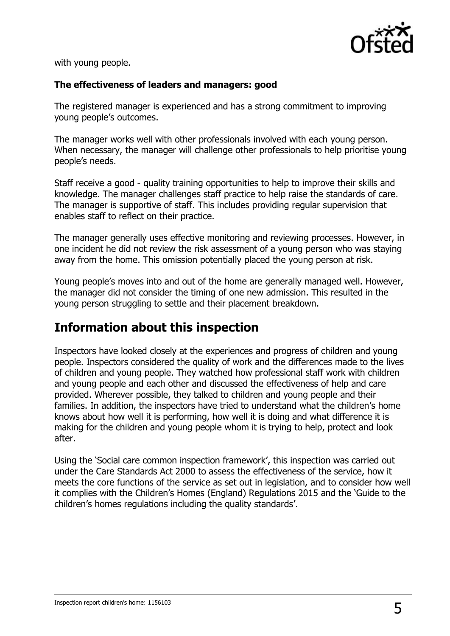

with young people.

#### **The effectiveness of leaders and managers: good**

The registered manager is experienced and has a strong commitment to improving young people's outcomes.

The manager works well with other professionals involved with each young person. When necessary, the manager will challenge other professionals to help prioritise young people's needs.

Staff receive a good - quality training opportunities to help to improve their skills and knowledge. The manager challenges staff practice to help raise the standards of care. The manager is supportive of staff. This includes providing regular supervision that enables staff to reflect on their practice.

The manager generally uses effective monitoring and reviewing processes. However, in one incident he did not review the risk assessment of a young person who was staying away from the home. This omission potentially placed the young person at risk.

Young people's moves into and out of the home are generally managed well. However, the manager did not consider the timing of one new admission. This resulted in the young person struggling to settle and their placement breakdown.

## **Information about this inspection**

Inspectors have looked closely at the experiences and progress of children and young people. Inspectors considered the quality of work and the differences made to the lives of children and young people. They watched how professional staff work with children and young people and each other and discussed the effectiveness of help and care provided. Wherever possible, they talked to children and young people and their families. In addition, the inspectors have tried to understand what the children's home knows about how well it is performing, how well it is doing and what difference it is making for the children and young people whom it is trying to help, protect and look after.

Using the 'Social care common inspection framework', this inspection was carried out under the Care Standards Act 2000 to assess the effectiveness of the service, how it meets the core functions of the service as set out in legislation, and to consider how well it complies with the Children's Homes (England) Regulations 2015 and the 'Guide to the children's homes regulations including the quality standards'.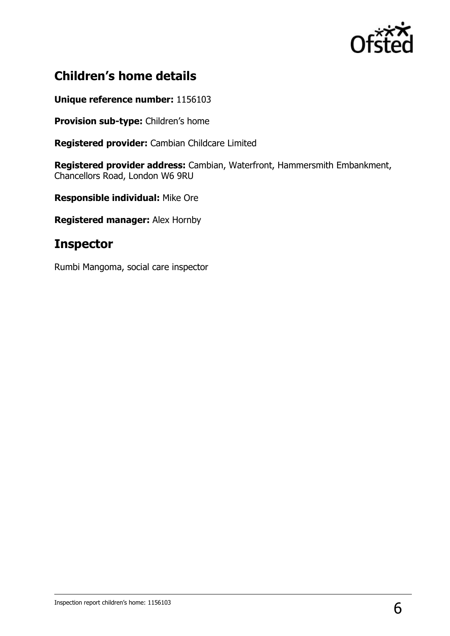

## **Children's home details**

**Unique reference number:** 1156103

**Provision sub-type:** Children's home

**Registered provider:** Cambian Childcare Limited

**Registered provider address:** Cambian, Waterfront, Hammersmith Embankment, Chancellors Road, London W6 9RU

**Responsible individual:** Mike Ore

**Registered manager:** Alex Hornby

## **Inspector**

Rumbi Mangoma, social care inspector